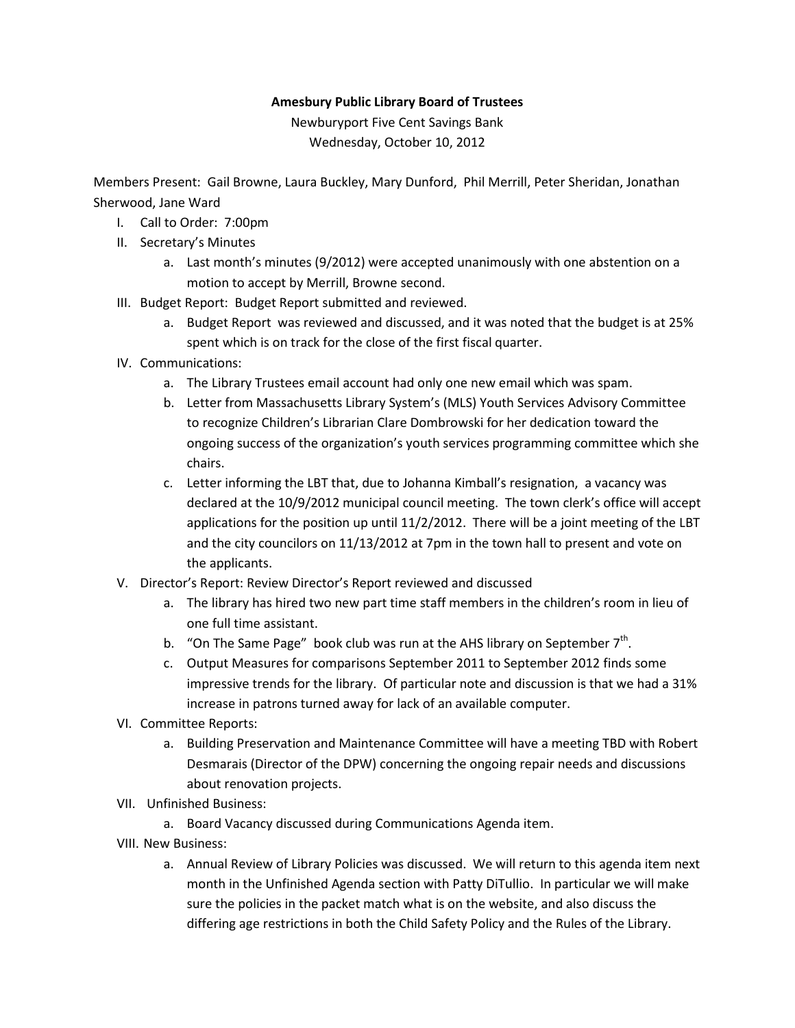## **Amesbury Public Library Board of Trustees**

Newburyport Five Cent Savings Bank Wednesday, October 10, 2012

Members Present: Gail Browne, Laura Buckley, Mary Dunford, Phil Merrill, Peter Sheridan, Jonathan Sherwood, Jane Ward

- I. Call to Order: 7:00pm
- II. Secretary's Minutes
	- a. Last month's minutes (9/2012) were accepted unanimously with one abstention on a motion to accept by Merrill, Browne second.
- III. Budget Report: Budget Report submitted and reviewed.
	- a. Budget Report was reviewed and discussed, and it was noted that the budget is at 25% spent which is on track for the close of the first fiscal quarter.
- IV. Communications:
	- a. The Library Trustees email account had only one new email which was spam.
	- b. Letter from Massachusetts Library System's (MLS) Youth Services Advisory Committee to recognize Children's Librarian Clare Dombrowski for her dedication toward the ongoing success of the organization's youth services programming committee which she chairs.
	- c. Letter informing the LBT that, due to Johanna Kimball's resignation, a vacancy was declared at the 10/9/2012 municipal council meeting. The town clerk's office will accept applications for the position up until 11/2/2012. There will be a joint meeting of the LBT and the city councilors on 11/13/2012 at 7pm in the town hall to present and vote on the applicants.
- V. Director's Report: Review Director's Report reviewed and discussed
	- a. The library has hired two new part time staff members in the children's room in lieu of one full time assistant.
	- b. "On The Same Page" book club was run at the AHS library on September  $7<sup>th</sup>$ .
	- c. Output Measures for comparisons September 2011 to September 2012 finds some impressive trends for the library. Of particular note and discussion is that we had a 31% increase in patrons turned away for lack of an available computer.
- VI. Committee Reports:
	- a. Building Preservation and Maintenance Committee will have a meeting TBD with Robert Desmarais (Director of the DPW) concerning the ongoing repair needs and discussions about renovation projects.
- VII. Unfinished Business:
	- a. Board Vacancy discussed during Communications Agenda item.
- VIII. New Business:
	- a. Annual Review of Library Policies was discussed. We will return to this agenda item next month in the Unfinished Agenda section with Patty DiTullio. In particular we will make sure the policies in the packet match what is on the website, and also discuss the differing age restrictions in both the Child Safety Policy and the Rules of the Library.